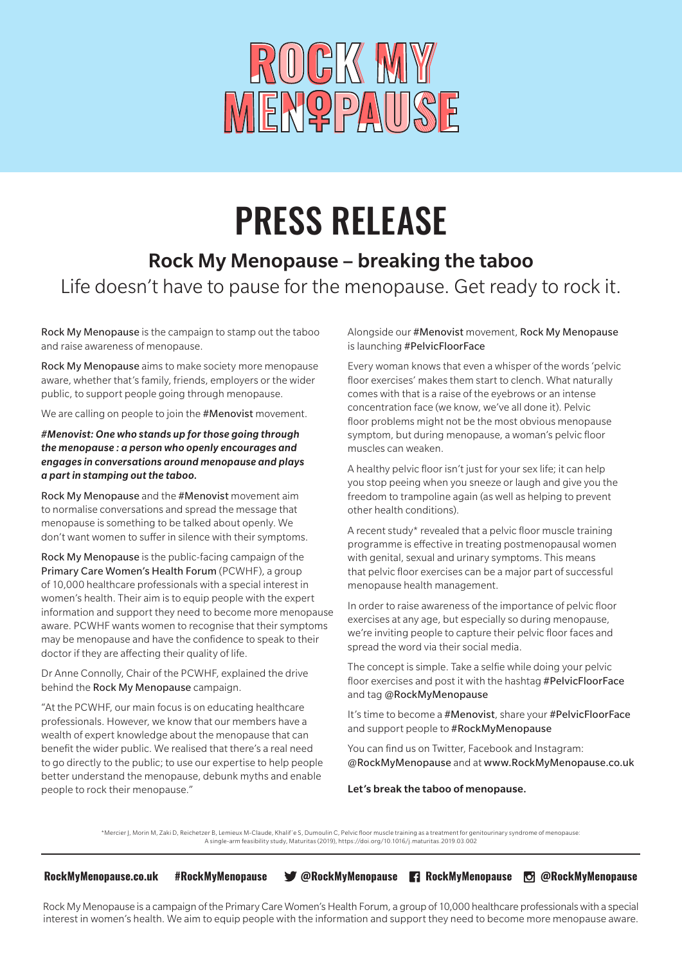

# PRESS RELEASE

### Rock My Menopause – breaking the taboo Life doesn't have to pause for the menopause. Get ready to rock it.

Rock My Menopause is the campaign to stamp out the taboo and raise awareness of menopause.

Rock My Menopause aims to make society more menopause aware, whether that's family, friends, employers or the wider public, to support people going through menopause.

We are calling on people to join the #Menovist movement.

*#Menovist: One who stands up for those going through the menopause : a person who openly encourages and engages in conversations around menopause and plays a part in stamping out the taboo.*

Rock My Menopause and the #Menovist movement aim to normalise conversations and spread the message that menopause is something to be talked about openly. We don't want women to suffer in silence with their symptoms.

Rock My Menopause is the public-facing campaign of the Primary Care Women's Health Forum (PCWHF), a group of 10,000 healthcare professionals with a special interest in women's health. Their aim is to equip people with the expert information and support they need to become more menopause aware. PCWHF wants women to recognise that their symptoms may be menopause and have the confidence to speak to their doctor if they are affecting their quality of life.

Dr Anne Connolly, Chair of the PCWHF, explained the drive behind the Rock My Menopause campaign.

"At the PCWHF, our main focus is on educating healthcare professionals. However, we know that our members have a wealth of expert knowledge about the menopause that can benefit the wider public. We realised that there's a real need to go directly to the public; to use our expertise to help people better understand the menopause, debunk myths and enable people to rock their menopause."

Alongside our #Menovist movement, Rock My Menopause is launching #PelvicFloorFace

Every woman knows that even a whisper of the words 'pelvic floor exercises' makes them start to clench. What naturally comes with that is a raise of the eyebrows or an intense concentration face (we know, we've all done it). Pelvic floor problems might not be the most obvious menopause symptom, but during menopause, a woman's pelvic floor muscles can weaken.

A healthy pelvic floor isn't just for your sex life; it can help you stop peeing when you sneeze or laugh and give you the freedom to trampoline again (as well as helping to prevent other health conditions).

A recent study\* revealed that a pelvic floor muscle training programme is effective in treating postmenopausal women with genital, sexual and urinary symptoms. This means that pelvic floor exercises can be a major part of successful menopause health management.

In order to raise awareness of the importance of pelvic floor exercises at any age, but especially so during menopause, we're inviting people to capture their pelvic floor faces and spread the word via their social media.

The concept is simple. Take a selfie while doing your pelvic floor exercises and post it with the hashtag #PelvicFloorFace and tag @RockMyMenopause

It's time to become a #Menovist, share your #PelvicFloorFace and support people to #RockMyMenopause

You can find us on Twitter, Facebook and Instagram: @RockMyMenopause and at www.RockMyMenopause.co.uk

Let's break the taboo of menopause.

\*Mercier J, Morin M, Zaki D, Reichetzer B, Lemieux M-Claude, Khalif´e S, Dumoulin C, Pelvic floor muscle training as a treatment for genitourinary syndrome of menopause: A single-arm feasibility study, Maturitas (2019), https://doi.org/10.1016/j.maturitas.2019.03.002

**RockMyMenopause.co.uk #RockMyMenopause @RockMyMenopause RockMyMenopause @RockMyMenopause**

Rock My Menopause is a campaign of the Primary Care Women's Health Forum, a group of 10,000 healthcare professionals with a special interest in women's health. We aim to equip people with the information and support they need to become more menopause aware.